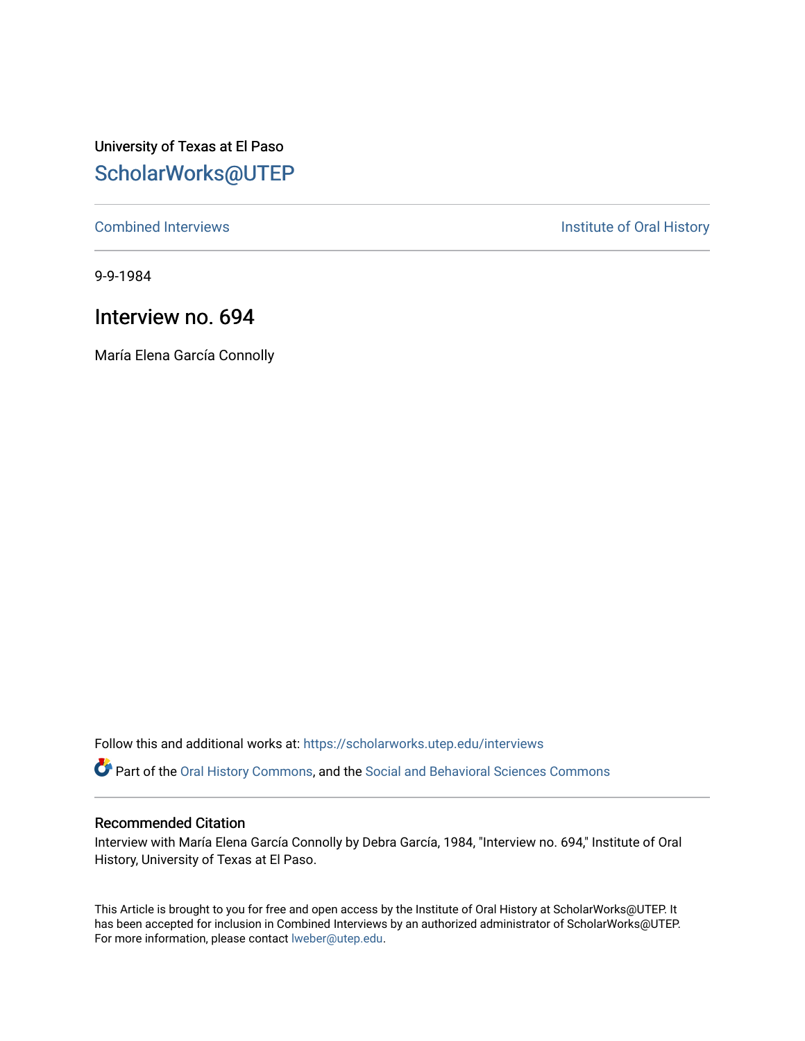University of Texas at El Paso [ScholarWorks@UTEP](https://scholarworks.utep.edu/)

[Combined Interviews](https://scholarworks.utep.edu/interviews) **Institute of Oral History** 

9-9-1984

# Interview no. 694

María Elena García Connolly

Follow this and additional works at: [https://scholarworks.utep.edu/interviews](https://scholarworks.utep.edu/interviews?utm_source=scholarworks.utep.edu%2Finterviews%2F694&utm_medium=PDF&utm_campaign=PDFCoverPages) 

Part of the [Oral History Commons](http://network.bepress.com/hgg/discipline/1195?utm_source=scholarworks.utep.edu%2Finterviews%2F694&utm_medium=PDF&utm_campaign=PDFCoverPages), and the [Social and Behavioral Sciences Commons](http://network.bepress.com/hgg/discipline/316?utm_source=scholarworks.utep.edu%2Finterviews%2F694&utm_medium=PDF&utm_campaign=PDFCoverPages)

### Recommended Citation

Interview with María Elena García Connolly by Debra García, 1984, "Interview no. 694," Institute of Oral History, University of Texas at El Paso.

This Article is brought to you for free and open access by the Institute of Oral History at ScholarWorks@UTEP. It has been accepted for inclusion in Combined Interviews by an authorized administrator of ScholarWorks@UTEP. For more information, please contact [lweber@utep.edu](mailto:lweber@utep.edu).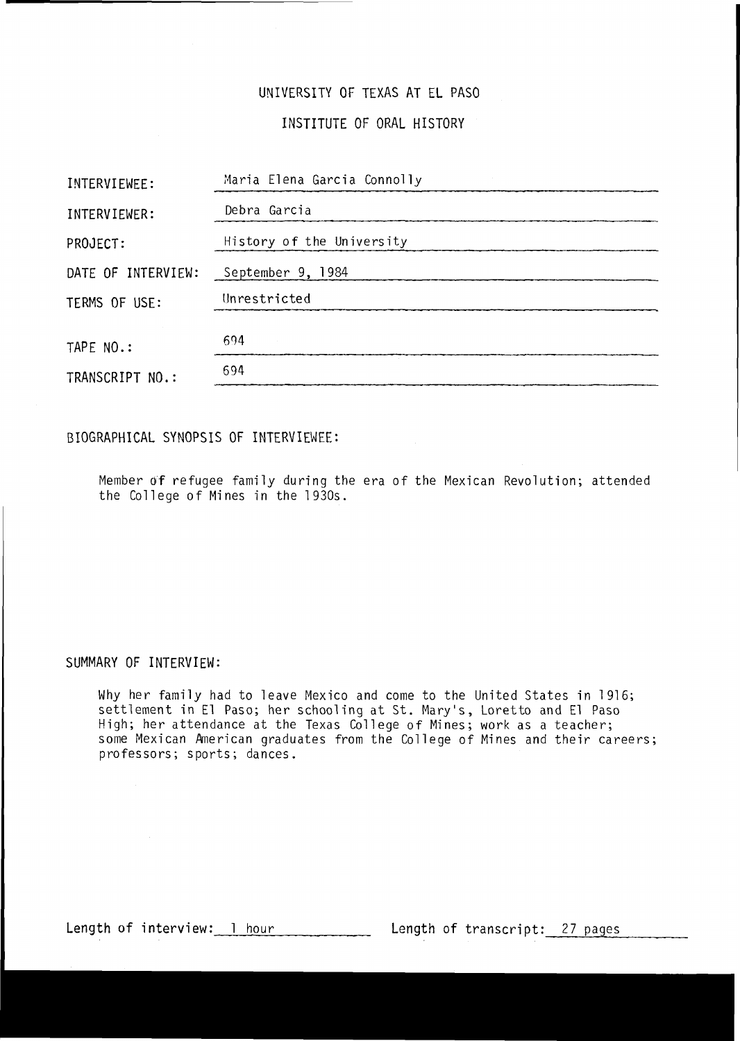### UNIVERSITY OF TEXAS AT EL PASO

### INSTITUTE OF ORAL HISTORY

| INTERVIEWEE:       | Maria Elena Garcia Connolly |
|--------------------|-----------------------------|
| INTERVIEWER:       | Debra Garcia                |
| PROJECT:           | History of the University   |
| DATE OF INTERVIEW: | September 9, 1984           |
| TERMS OF USE:      | Unrestricted                |
| TAPE NO.:          | 694                         |
| TRANSCRIPT NO.:    | 694                         |

### BIOGRAPHICAL SYNOPSIS OF INTERVIEWEE:

Member of refugee family during the era of the Mexican Revolution; attended the College of Mines in the 1930s.

#### SUMMARY OF INTERVIEW:

Why her family had to leave Mexico and come to the United States in 1916; settlement in El Paso; her schooling at St. Mary's, Loretto and El Paso High; her attendance at the Texas College of Mines; work as a teacher; some Mexican American graduates from the College of Mines and their careers; professors; sports; dances.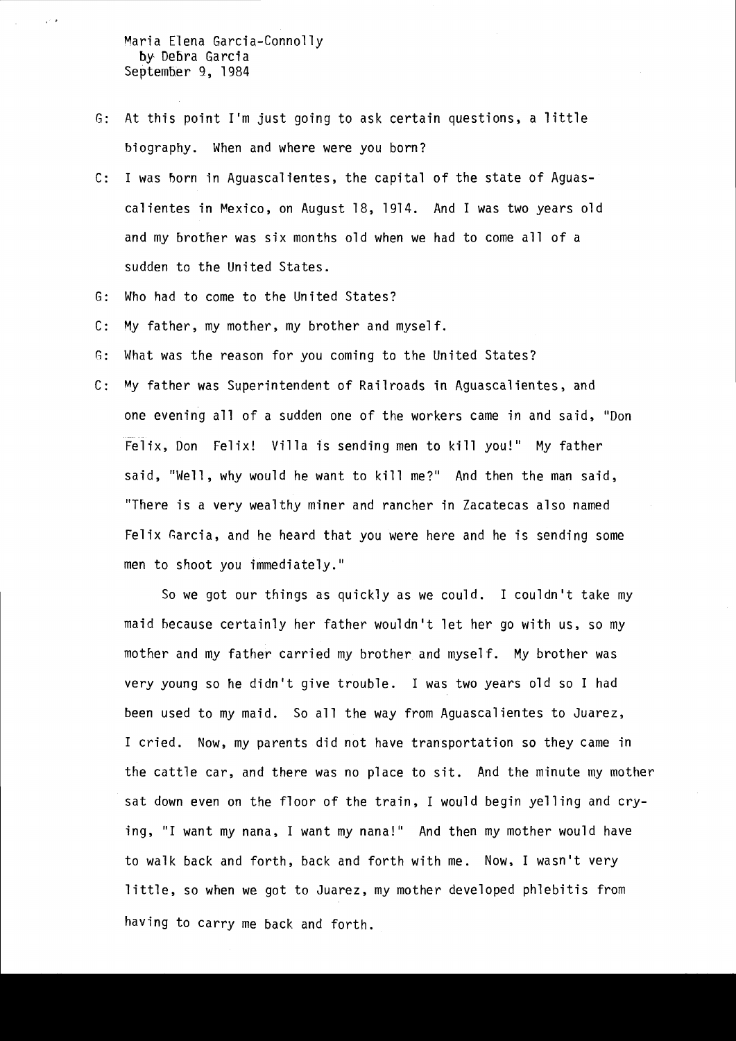Maria Elena Garcia-Connolly by Debra Garcia September 9, 1984

. '

- G: At this point I'm just going to ask certain questions, a little biography. When and where were you born?
- c: I was born in Aguascalientes, the capital of the state of Aguascalientes in Mexico, on August 18, 1914. And I was two years old and my brother was six months old when we had to come all of a sudden to the United States.
- G: Who had to come to the United States?
- c: My father, my mother, my brother and myself.
- G: What was the reason for you coming to the United States?
- C: My father was Superintendent of Railroads in Aguascalientes, and one evening all of a sudden one of the workers came in and said, "Don Felix, Don Felix! Villa is sending men to kill you!" My father said, "Well, why would he want to kill me?" And then the man said, "There is a very wealthy miner and rancher in Zacatecas also named Felix Garcia, and he heard that you were here and he is sending some men to shoot you immediately."

So we got our things as quickly as we could. I couldn't take my maid because certainly her father wouldn't let her go with us, so my mother and my father carried my brother and myself. My brother was very young so he didn't give trouble. I was two years old so I had been used to my maid. So all the way from Aguascalientes to Juarez, I cried. Now, my parents did not have transportation so they came in the cattle car, and there was no place to sit. And the minute my mother sat down even on the floor of the train, I would begin yelling and crying, "I want my nana, I want my nana!" And then my mother would have to walk back and forth, back and forth with me. Now, I wasn't very little, so when we got to Juarez, my mother developed phlebitis from having to carry me back and forth.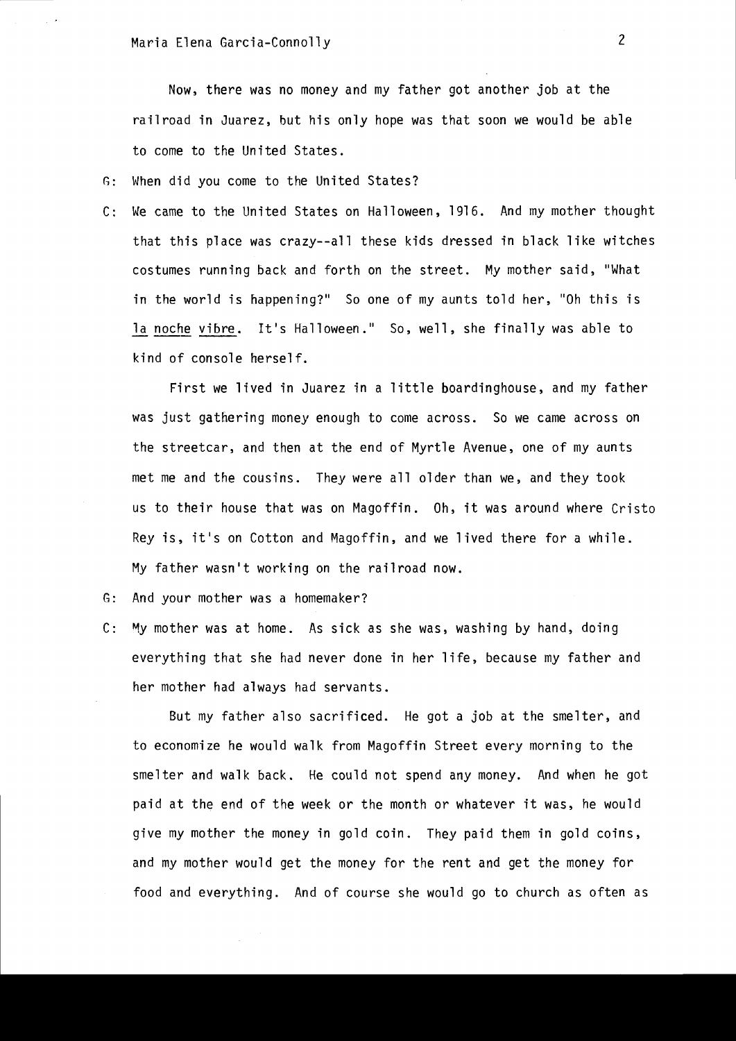Now, there was no money and my father got another job at the railroad in Juarez, but his only hope was that soon we would be able to come to the United States.

G: When did you come to the United States?

C: We came to the United States on Halloween, 1916. And my mother thought that this place was crazy--all these kids dressed in black like witches costumes running back and forth on the street. My mother said, "What in the world is happening?" So one of my aunts told her, "Oh this is la noche vibre. It's Halloween." So, well, she finally was able to kind of console herself.

First we lived in Juarez in a little boardinghouse, and my father was just gathering money enough to come across. So we came across on the streetcar, and then at the end of Myrtle Avenue, one of my aunts met me and the cousins. They were all older than we, and they took us to their house that was on Magoffin. Oh, it was around where Cristo Rey is, it's on Cotton and Magoffin, and we lived there for a while. My father wasn't working on the railroad now.

G: And your mother was a homemaker?

C: My mother was at home. As sick as she was, washing by hand, doing everything that she had never done in her life, because my father and her mother had always had servants.

But my father also sacrificed. He got a job at the smelter, and to economize he would walk from Magoffin Street every morning to the smelter and walk back. He could not spend any money. And when he got paid at the end of the week or the month or whatever it was, he would give my mother the money in gold coin. They paid them in gold coins, and my mother would get the money for the rent and get the money for food and everything. And of course she would go to church as often as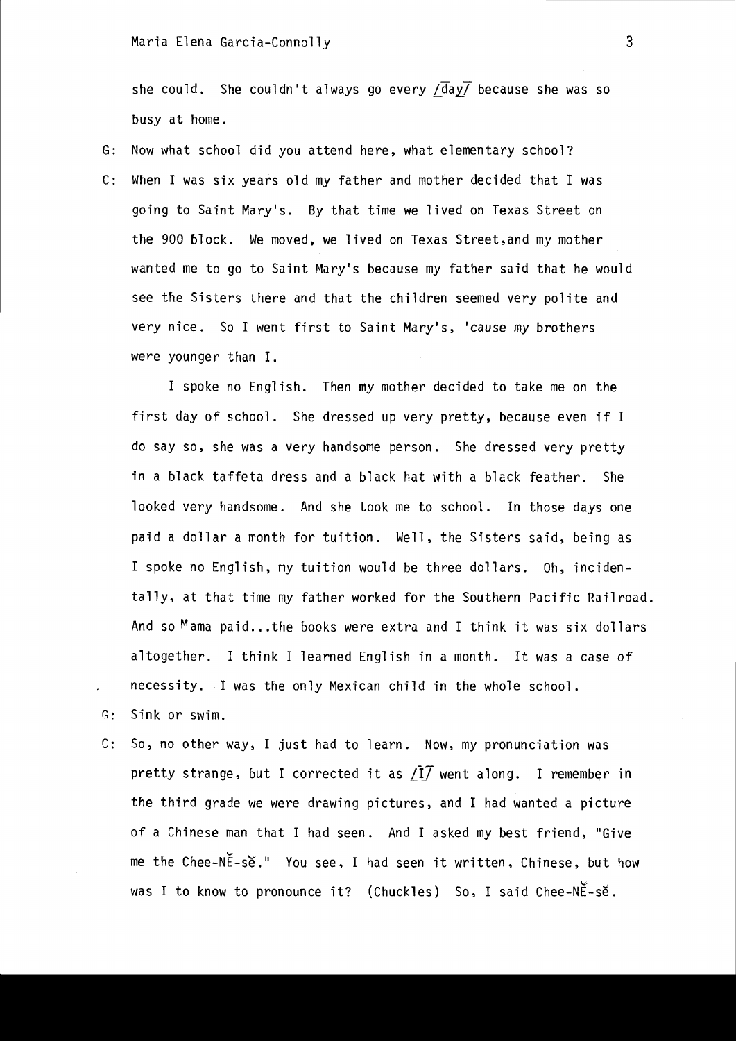she could. She couldn't always go every /day/ because she was so busy at home.

G: Now what school did you attend here, what elementary school? C: When I was six years old my father and mother decided that I was going to Saint Mary's. By that time we lived on Texas Street on the 900 block. We moved, we lived on Texas Street, and my mother wanted me to go to Saint Mary's because my father said that he would see the Sisters there and that the children seemed very polite and very nice. So I went first to Saint Mary's, 'cause my brothers were younger than I.

I spoke no English. Then my mother decided to take me on the first day of school. She dressed up very pretty, because even if I do say so, she was a very handsome person. She dressed very pretty in a black taffeta dress and a black hat with a black feather. She looked very handsome. And she took me to school. In those days one paid a dollar a month for tuition. Well, the Sisters said, being as I spoke no English, my tuition would be three dollars. Oh, incidentally, at that time my father worked for the Southern Pacific Railroad. And so  $M$  ama paid... the books were extra and I think it was six dollars altogether. I think I learned English in a month. It was a case of necessity. I was the only Mexican child in the whole school.

- G: Sink or swim.
- C: So, no other way, I just had to learn. Now, my pronunciation was pretty strange, but I corrected it as /I<sup>T</sup> went along. I remember in the third grade we were drawing pictures, and I had wanted a picture of a Chinese man that I had seen. And I asked my best friend, "Give me the Chee-NE-se." You see, I had seen it written, Chinese, but how was I to know to pronounce it? (Chuckles)  $\,$  So, I said Chee-NE-se.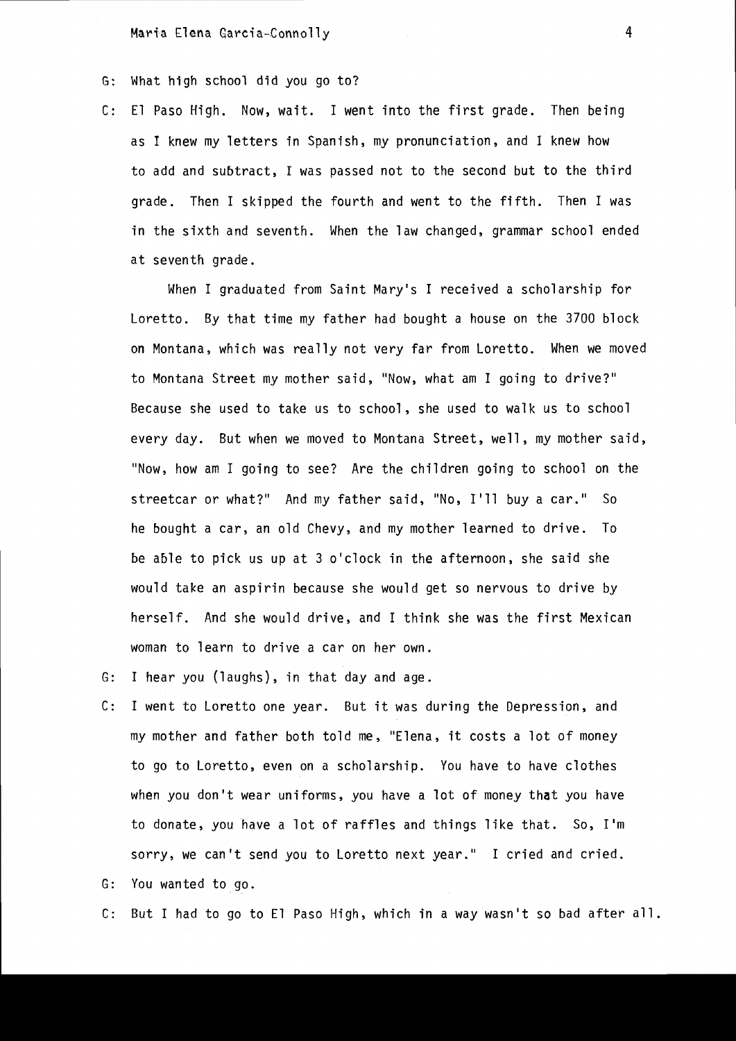- G: What high school did you go to?
- C: E1 Paso High. Now, wait. I went into the first grade. Then being as I knew my letters in Spanish, my pronunciation, and I knew how to add and subtract, I was passed not to the second but to the third grade. Then I skipped the fourth and went to the fifth. Then I was in the sixth and seventh. When the law changed, grammar school ended at seventh grade.

When I graduated from Saint Mary's I received a scholarship for Loretto. By that time my father had bought a house on the 3700 block on Montana, which was really not *very* far from Loretto. When we *moved*  to Montana Street my mother said, "Now, what am I going to drive?" Because she used to take us to school, she used to walk us to school *every* day. But when we *moved* to Montana Street, well, my mother said, "Now, how am I going to see? Are the children going to school on the streetcar or what?" And my father said, "No, I'll buy a car." So he bought a car, an old *Chevy,* and my mother learned to drive. To be able to pick us up at 3 o'clock in the afternoon, she said she would take an aspirin because she would get so nervous to drive by herself. And she would drive, and I think she was the first Mexican woman to learn to drive a car on her own.

- G: I hear you (laughs), in that day and age.
- C: I went to Loretto one year. But it was during the Depression, and my mother and father both told me, "Elena, it costs a lot of money to go to Loretto, *even* on a scholarship. You have to *have* clothes when you don't wear uniforms, you have a lot of money that you *have*  to donate, you *have* a lot of raffles and things like that. So, I'm sorry, we can't send you to Loretto next year." I cried and cried.

G: You wanted to go.

C: But I had to go to E1 Paso High, which in a way wasn't so bad after all.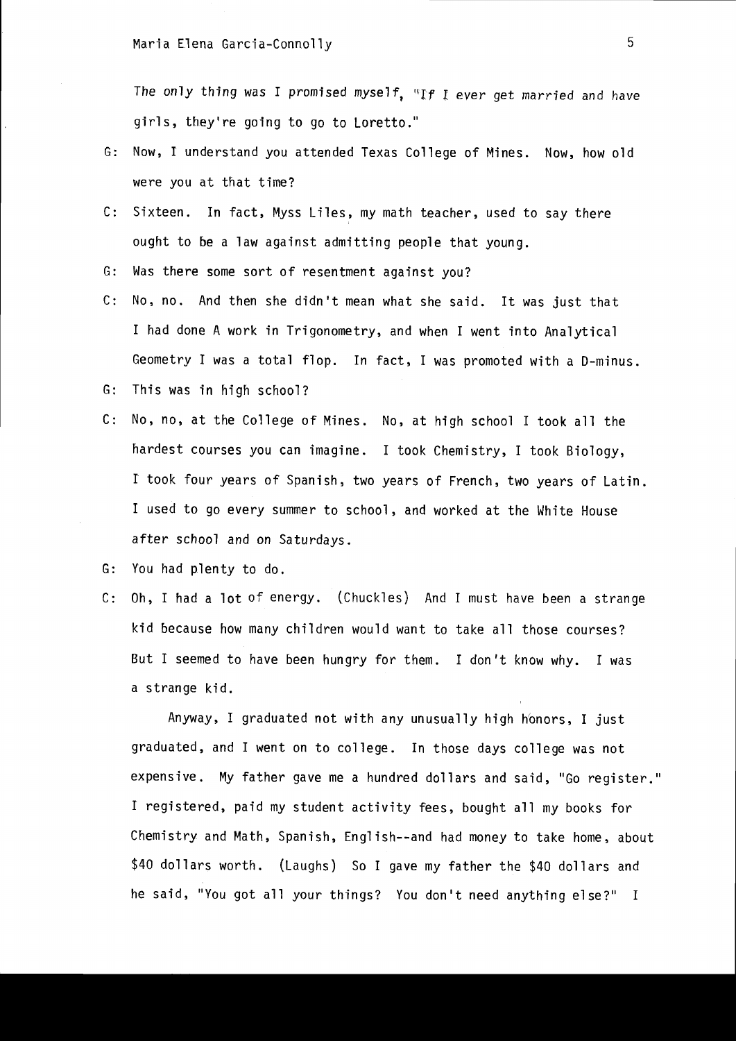The only thing was I promised myself, "If I ever get married and have girls, they're going to go to Loretto."

- G: Now, I understand you attended Texas College of Mines. Now, how old were you at that time?
- C: Sixteen. In fact, Myss Liles, my math teacher, used to say there ought to be a law against admitting people that young.
- G: Was there some sort of resentment against you?
- C: No, no. And then she didn't mean what she said. It was just that I had done A work in Trigonometry, and when I went into Analytical Geometry I was a total flop. In fact, I was promoted with a D-minus.
- G: This was in high school?
- C: No, no, at the College of Mines. No, at high school I took all the hardest courses you can imagine. I took Chemistry, I took Biology, r took four years of Spanish, two years of French, two years of Latin. I used to go every summer to school, and worked at the White House after school and on Saturdays.
- G: You had plenty to do.
- C: Oh, I had a lot of energy. (Chuckles) And I must have been a strange kid because how many children would want to take all those courses? But I seemed to have been hungry for them. I don't know why. I was a strange kid.

Anyway, I graduated not with any unusually high honors, I just graduated, and I went on to college. In those days college was not expensive. My father gave me a hundred dollars and said, "Go register." I registered, paid my student activity fees, bought all my books for Chemistry and Math, Spanish, English--and had money to take home, about \$40 dollars worth. (Laughs) So I gave my father the \$40 dollars and he said, "You got all your things? You don't need anything else?" I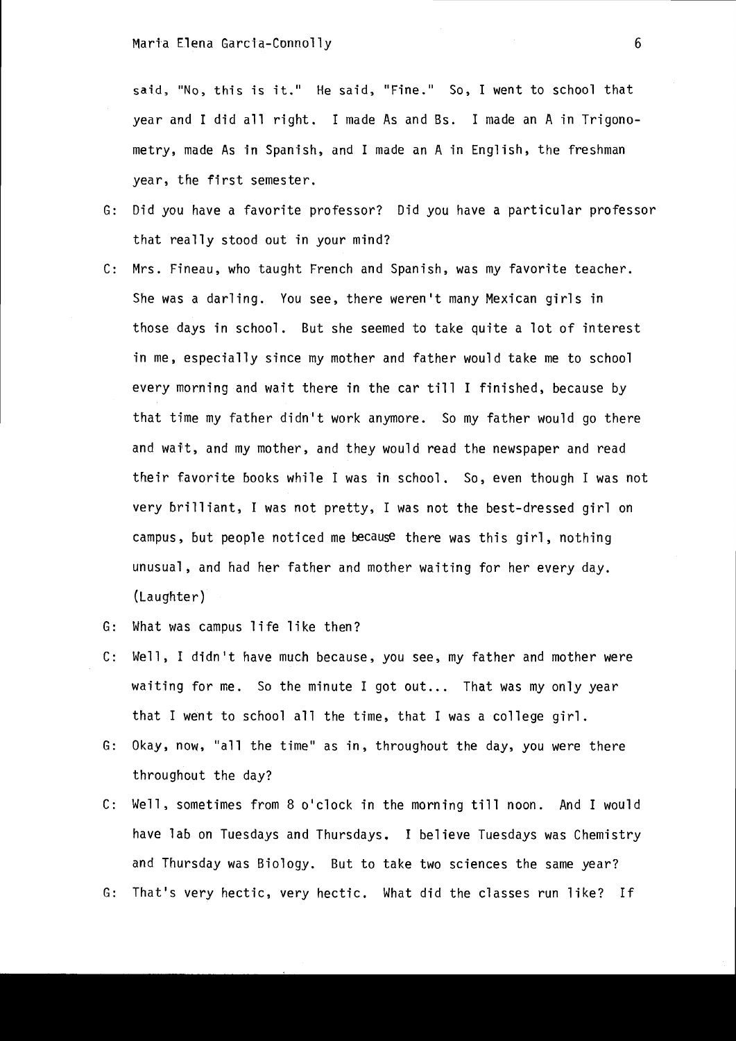said, "No, this is it." He said, "Fine." So, I went to school that year and I did all right. I made As and Bs. I made an A in Trigonometry, made As in Spanish, and I made an A in English, the freshman year, the first semester.

- G: Did you have a favorite professor? Did you have a particular professor that really stood out in your mind?
- C: Mrs. Fineau, who taught French and Spanish, was my favorite teacher. She was a darling. You see, there weren't many Mexican girls in those days in school. But she seemed to take quite a lot of interest in me, especially since my mother and father would take me to school every morning and wait there in the car till I finished, because by that time my father didn't work anymore. So my father would go there and wait, and my mother, and they would read the newspaper and read their favorite books while I was in school. So, even though I was not very brilliant, I was not pretty, I was not the best-dressed girl on campus, but people noticed me because there was this girl, nothing unusual, and had her father and mother waiting for her every day. (Laughter)
- G: What was campus life like then?
- C: Well, I didn't have much because, you see, my father and mother were waiting for me. So the minute I got out... That was my only year that I went to school all the time, that I was a college girl.
- G: Okay, now, "all the time" as in, throughout the day, you were there throughout the day?
- C: Well, sometimes from 8 o'clock in the morning till noon. And I would have lab on Tuesdays and Thursdays. I believe Tuesdays was Chemistry and Thursday was Biology. But to take two sciences the same year?
- G: That's very hectic, very hectic. What did the classes run like? If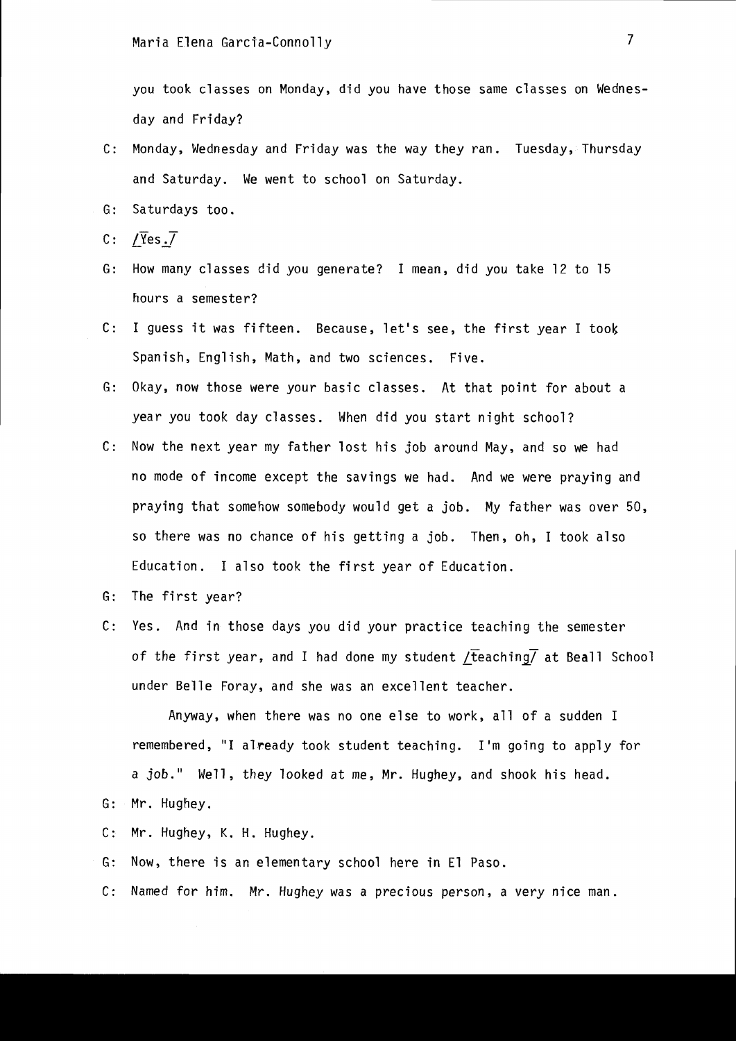you took classes on Monday, did you have those same classes on Wednesday and Friday?

- c: Monday, Wednesday and Friday was the way they ran. Tuesday, Thursday and Saturday. We went to school on Saturday.
- G: Saturdays too.
- C: / $\overline{Y}$ es. $\overline{V}$
- G: How many classes did you generate? I mean, did you take 12 to 15 hours a semester?
- C: I guess it was fifteen. Because, let's see, the first year I took Spanish, English, Math, and two sciences. Five.
- G: Okay, now those were your basic classes. At that point for about a year you took day classes. When did you start night school?
- C: Now the next year my fa ther lost his job a round May, and so we had no mode of income except the savings we had. And we were praying and praying that somehow somebody would get a job. My father was over 50, so there was no chance of his getting a job. Then, oh, I took also Education. I also took the first year of Education.
- G: The first year?
- C: Yes. And in those days you did your practice teaching the semester of the first year, and I had done my student  $/$ teaching $/$  at Beall School under Belle Foray, and she was an excellent teacher.

Anyway, when there was no one else to work, all of a sudden I remembered, "1 already took student teaching. I'm going to apply for a job." Well, they looked at me, Mr. Hughey, and shook his head.

- G: Mr. Hughey.
- C: Mr. Hughey, K. H. Hughey.
- G: Now, there is an elementary school here in El Paso.
- C: Named for him. Mr. Hughey was a precious person, a very nice man.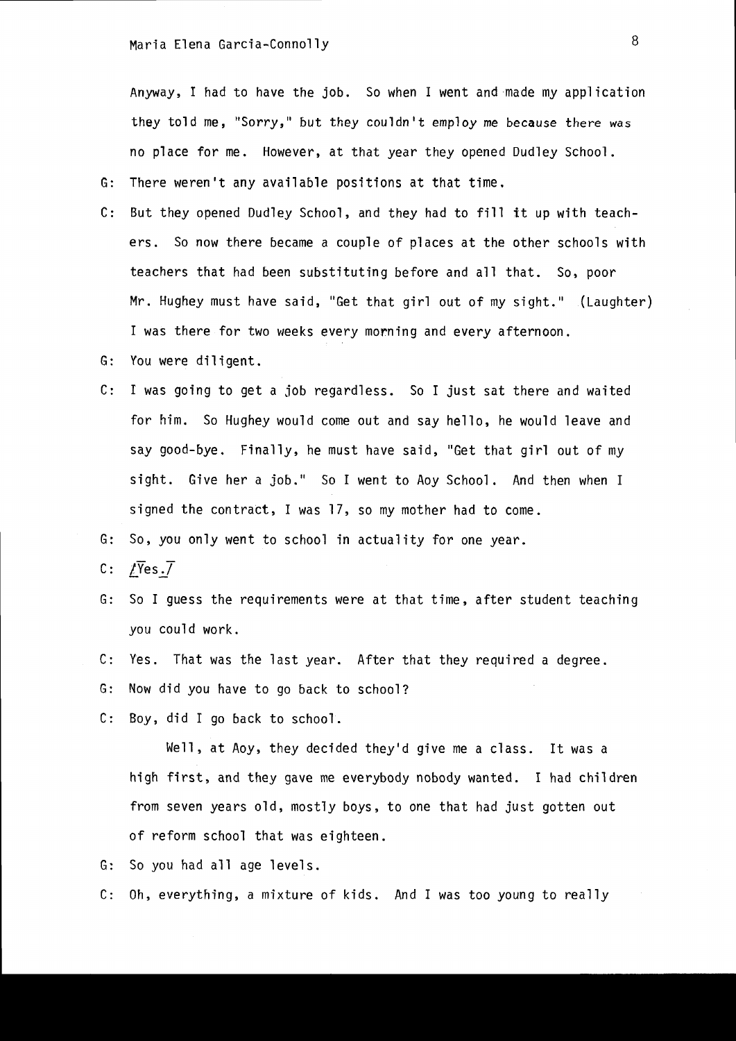Anyway, I had to have the job. So when I went and made my application they told me, "Sorry," but they couldn't employ me because there was no place for me. However, at that year they opened Dudley School.

G: There weren't any available positions at that time.

- C: But they opened Dudley School, and they had to fill it up with teachers. So now there became a couple of places at the other schools with teachers that had been substituting before and all that. So, poor Mr. Hughey must have said, "Get that girl out of my sight." (Laughter) I was there for two weeks every morning and every afternoon.
- G: You were diligent.
- C: I was going to get a job regardless. So I just sat there and waited for him. So Hughey would come out and say hello, he would leave and say good-bye. Finally, he must have said, "Get that girl out of my sight. Give her a job." So I went to Aoy School. And then when I signed the contract, I was 17, so my mother had to come.

G: So, you only went to school in actuality for one year.

- C:  $\sqrt{\gamma}$ es.7
- G: So I guess the requirements were at that time, after student teaching you could work.
- C: Yes. That was the last year. After that they required a degree.
- G: Now did you have to go back to school?
- C: Boy, did I go back to school.

Well, at Aoy, they decided they'd give me a class. It was a high first, and they gave me everybody nobody wanted. I had children from seven years old, mostly boys, to one that had just gotten out of reform school that was eighteen.

G: So you had all age levels.

C: Oh, everything, a mixture of kids. And I was too young to really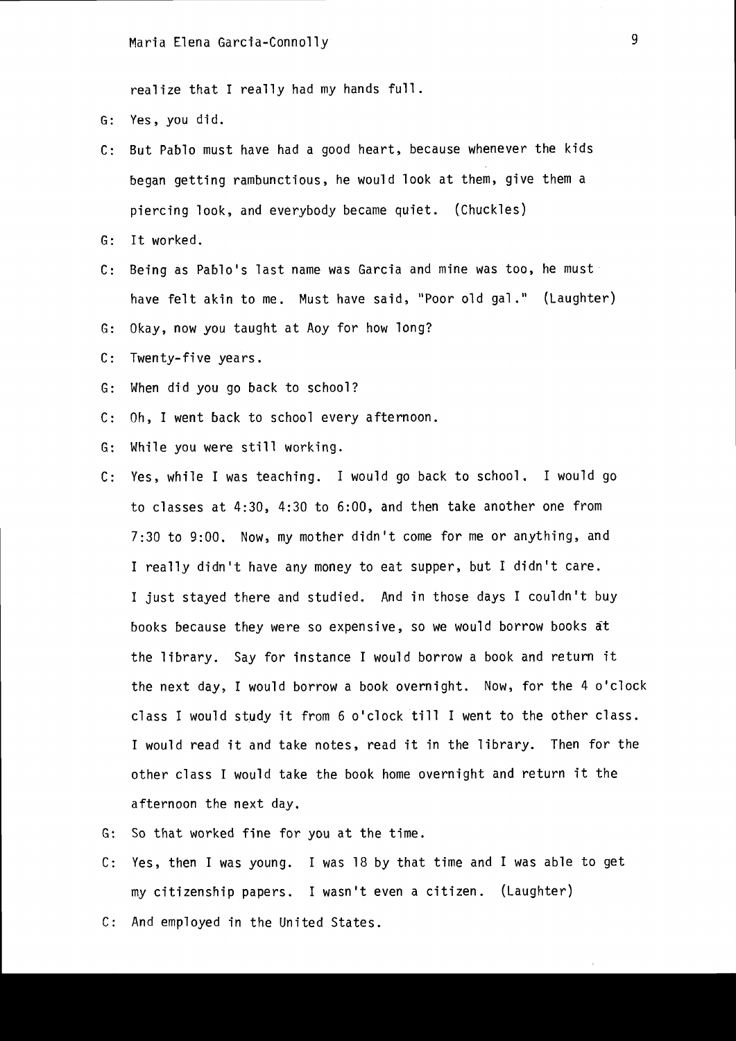realize that I really had my hands full.

- G: Yes, you did.
- C: But Pablo must have had a good heart, because whenever the kids began getting rambunctious, he would look at them, give them a piercing look, and everybody became quiet. (Chuckles)
- G: It worked.
- C: Being as Pablo's last name was Garcia and mine was too, he must have felt akin to me. Must have said, "Poor old gal." (Laughter)
- G: Okay, now you taught at Aoy for how long?
- C: Twenty-five years.
- G: When did you go back to school?
- C: Oh, I went back to school every afternoon.
- G: While you were still working.
- C: Yes, while I was teaching. I would go back to school. I would go to classes at 4:30, 4:30 to 6:00, and then take another one from 7:30 to 9:00. Now, my mother didn't come for me or anything, and I really didn't have any money to eat supper, but I didn't care. I just stayed there and studied. And in those days I couldn't buy books because they were so expensive, so we would borrow books at the library. Say for instance I would borrow a book and return it the next day, I would borrow a book overnight. Now, for the 4 o'clock class I would study it from 6 o'clock till I went to the other class. I would read it and take notes, read it in the library. Then for the other class I would take the book home overnight and return it the afternoon the next day.
- G: So that worked fine for you at the time.
- C: Yes, then I was young. I was 18 by that time and I was able to get my citizenship papers. I wasn't even a citizen. (Laughter)
- C: And employed in the United States.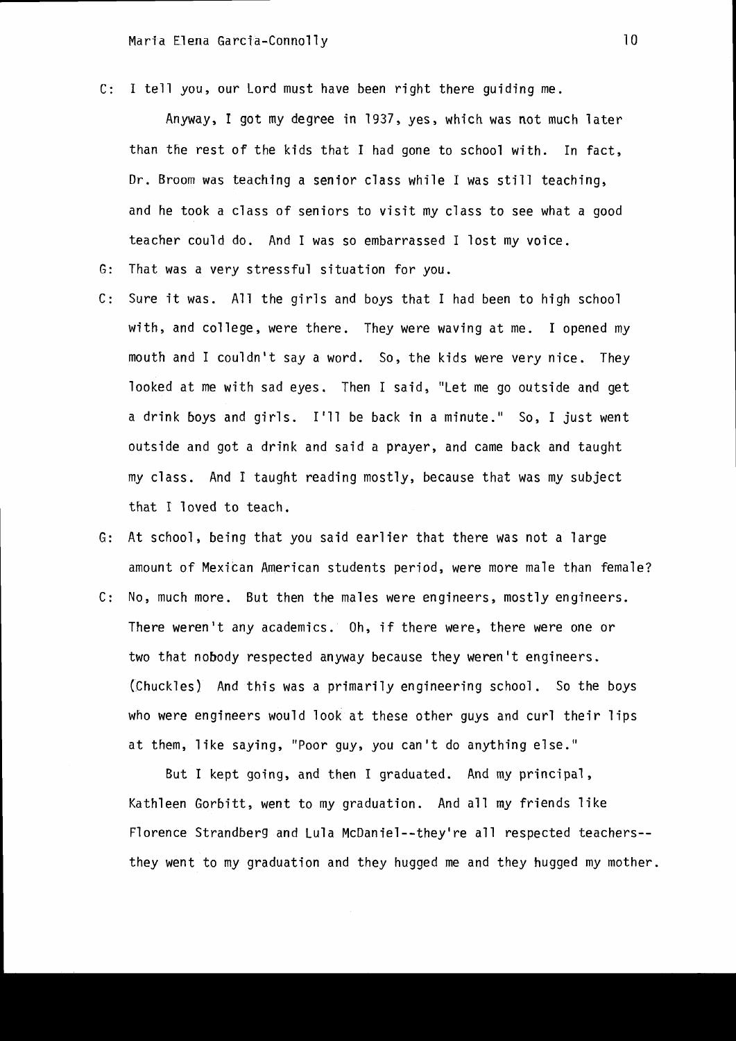c: I tell you, our Lord must have been right there guiding me.

Anyway, I got my degree in 1937, yes, which was not much later than the rest of the kids that I had gone to school with. In fact, Dr. Broom was teaching a senior class while I was still teaching, and he took a class of seniors to visit my class to see what a good teacher could do. And I was so embarrassed I lost my voice.

- G: That was a very stressful situation for you.
- C: Sure it was. All the girls and boys that I had been to high school with, and college, were there. They were waving at me. I opened my mouth and I couldn't say a word. So, the kids were very nice. They looked at me with sad eyes. Then I said, "Let me go outside and get a drink boys and girls. I'll be back in a minute." So, I just went outside and got a drink and said a prayer, and came back and taught my class. And I taught reading mostly, because that was my subject that I loved to teach.
- G: At school, being that you said earlier that there was not a large amount of Mexican American students period, were more male than female?
- C: No, much more. But then the males were engineers, mostly engineers. There weren't any academics. Oh, if there were, there were one or two that nobody respected anyway because they weren't engineers. (Chuckles) And this was a primarily engineering school. So the boys who were engineers would look at these other guys and curl their lips at them, like saying, "Poor guy, you can't do anything else."

But I kept going, and then I graduated. And my principal, Kathleen Gorbitt, went to my graduation. And all my friends like Florence Strandberg and Lu1a McDaniel--they're all respected teachers- they went to my graduation and they hugged me and they hugged my mother.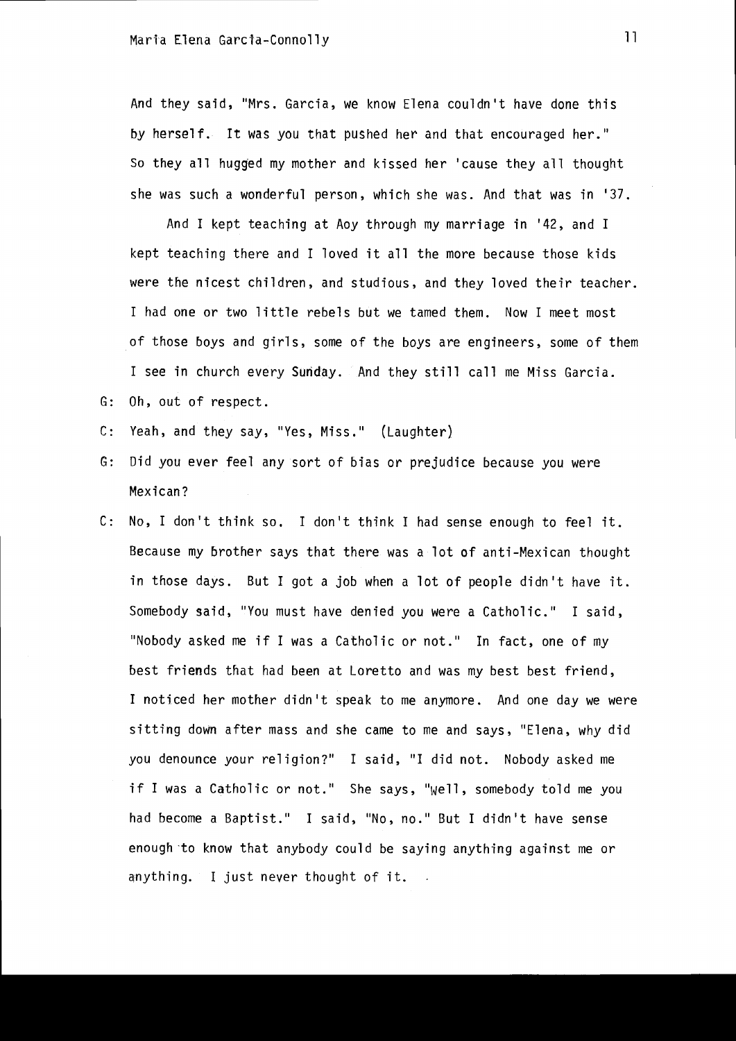And they said, "Mrs. Garcia, we know Elena couldn't have done this by herself. It was you that pushed her and that encouraged her." So they all hugged my mother and kissed her 'cause they all thought she was such a wonderful person, which she was. And that was in '37.

And I kept teaching at Aoy through my marriage in '42, and I kept teaching there and I loved it all the more because those kids were the nicest children, and studious, and they loved their teacher. I had one or two little rebels but we tamed them. Now I meet most of those boys and girls, some of the boys are engineers, some of them I see in church every Sunday. And they still call me Miss Garcia. G: Oh, out of respect.

- C: Yeah, and they say, "Yes, Miss." (Laughter)
- G: Did you ever feel any sort of bias or prejudice because you were Mexican?
- C: No, I don't think so. I don't think I had sense enough to feel it. Because my brother says that there was a lot of anti-Mexican thought in those days. But I got a job when a lot of people didn't have it. Somebody said, "You must have denied you were a Catholic." I said, "Nobody asked me if I was a Catholic or not." In fact, one of my best friends that had been at Loretto and was my best best friend, I noticed her mother didn't speak to me anymore. And one day we were sitting down after mass and she came to me and says, "Elena, why did you denounce your religion?" I said, "I did not. Nobody asked me if I was a Catholic or not." She says, "Well, somebody told me you had become a Baptist." I said, "No, no." But I didn't have sense enough to know that anybody could be saying anything against me or anything. I just never thought of it.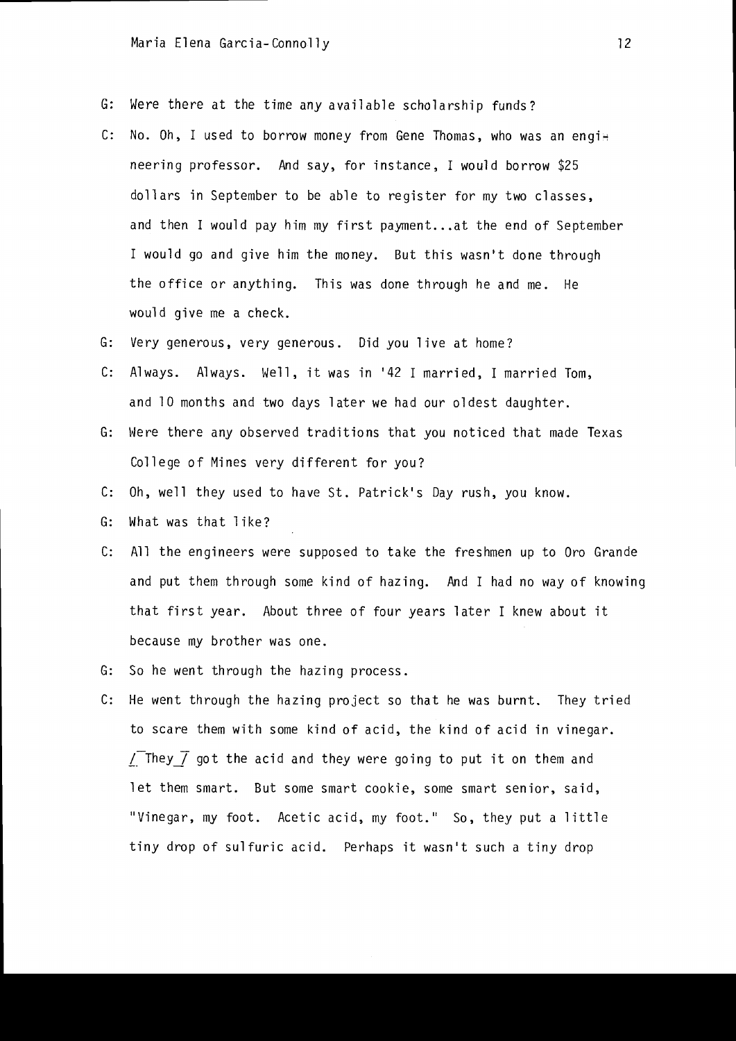- G: Were there at the time any available scholarship funds?
- C: No. Oh, I used to borrow money from Gene Thomas, who was an engi $\pm$ neering professor. And say, for instance, I would borrow \$25 dollars in September to be able to register for my two classes, and then I would pay him my first payment...at the end of September I would go and give him the money. But this wasn't done through the office or anything. This was done through he and me. He would give me a check.
- G: Very generous, very generous. Did you live at home?
- $C:$  Always. Always. Well, it was in '42 I married, I married Tom, and 10 months and two days later we had our oldest daughter.
- G: Here there any observed traditions that you noticed that made Texas College of Mines very different for you?
- C: Oh, well they used to have St. Patrick's Day rush, you know.
- G: What was that like?
- c: All the engineers were supposed to take the freshmen up to Oro Grande and put them through some kind of hazing. And I had no way of knowing that first year. About three of four years later I knew about it because my brother was one.
- G: So he went through the hazing process.
- C: He went through the hazing project so that he was burnt. They tried to scare them with some kind of acid, the kind of acid in vinegar.  $\sqrt{\ }$  They  $\overline{\ }$  got the acid and they were going to put it on them and let them smart. But some smart cookie, some smart senior, said, "Vinegar, my foot. Acetic acid, my foot." So, they put a little tiny drop of sulfuric acid. Perhaps it wasn't such a tiny drop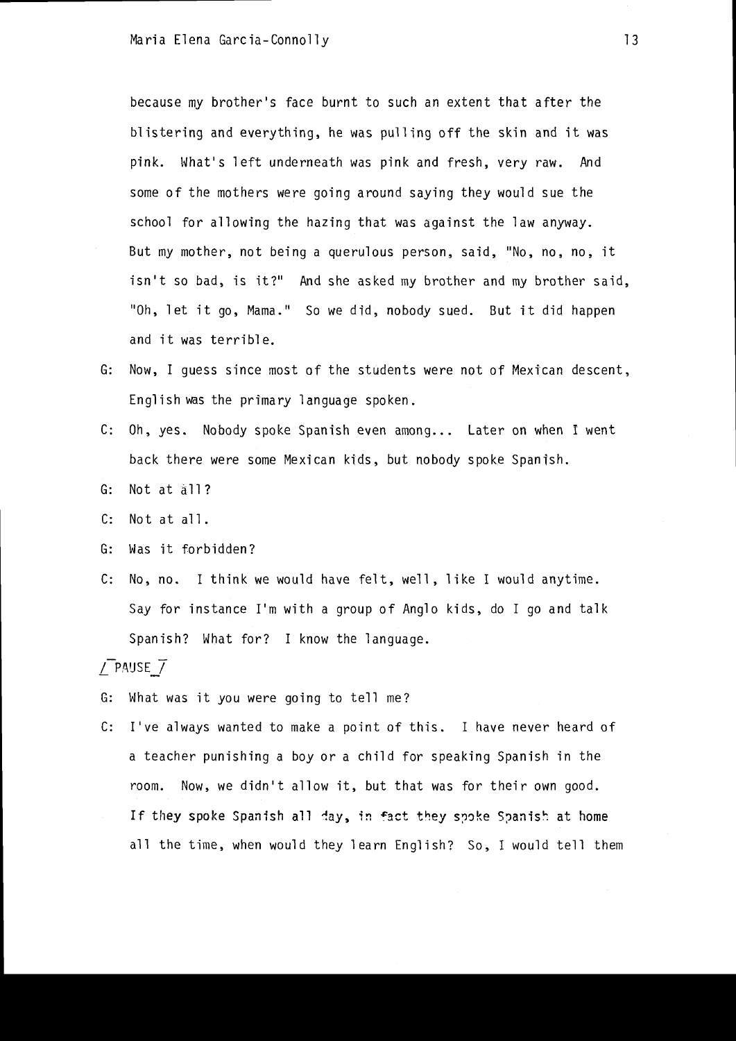because my brother's face burnt to such an extent that after the blistering and everything, he was pulling off the skin and it was pink. What's left underneath was pink and fresh, very raw. And some of the mothers were going around saying they would sue the school for allowing the hazing that was against the law anyway. But my mother, not being a querulous person, said, "No, no. no, it isn't so bad, is it?" And she asked my brother and my brother said, "Oh, let it go, Mama." So we did, nobody sued. But it did happen and it was terrible.

- G: Now, I guess since most of the students were not of Mexican descent, Engl ish was the prima ry 1 anguage spoken.
- C: Oh, yes. Nobody spoke Spanish even among... Later on when I went back there were some Mexican kids, but nobody spoke Spanish.
- G: Not at all?
- C: Not at all.
- G: Was it forbidden?
- C: No, no. I think we would have felt, well, 1 ike I would anytime. Say for instance I'm with a group of Anglo kids, do I go and talk Spanish? What for? I know the language.

### *L Pl-\IJSE\_I*

- G: What was it you were going to tell me?
- C: I've always wanted to make a point of this. I have never heard of a teacher punishing a boy or a child for speaking Spanish in the room. Now, we didn't allow it, but that was for their own good. If they spoke Spanish all day, in fact they spoke Spanish at home all the time, when would they learn English? So, I would tell them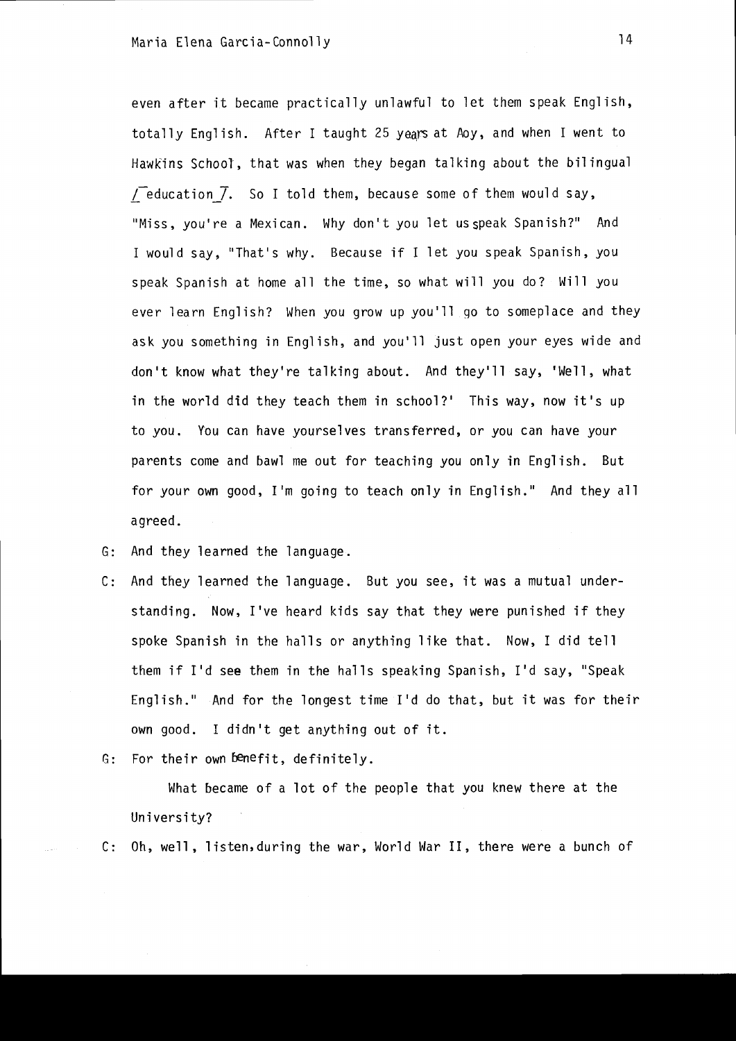even after it became practically unlawful to let them speak English, totally English. After I taught 25 years at Aoy, and when I went to Hawkins School, that was when they began talking about the bilingual  ${\overline{1}}$  education  $\overline{7}$ . So I told them, because some of them would say, "Miss, you're a Mexican. Why don't you let us speak Spanish?" And I would say, "That's why. Because if I let you speak Spanish, you speak Spanish at home all the time, so what will you do? Will you ever learn English? When you grow up you'll go to someplace and they ask you something in English, and you'll just open your eyes wide and don't know what they're talking about. And they'll say, 'Well, what in the world did they teach them in school?' This way, now it's up to you. You can have yourselves transferred, or you can have your parents come and bawl me out for teaching you only in English. But for your own good, I'm going to teach only in English." And they all agreed.

G: And they learned the language.

C: And they learned the language. But you see, it was a mutual understanding. Now, I've heard kids say that they were punished if they spoke Spanish in the halls or anything like that. Now, I did tell them if I'd see them in the halls speaking Spanish, I'd say, "Speak English." And for the longest time I'd do that, but it was for their own good. I didn't get anything out of it.

 $G:$  For their own benefit, definitely.

What became of a lot of the people that you knew there at the University?

C: Oh, well, listen,during the war, World War II, there were a bunch of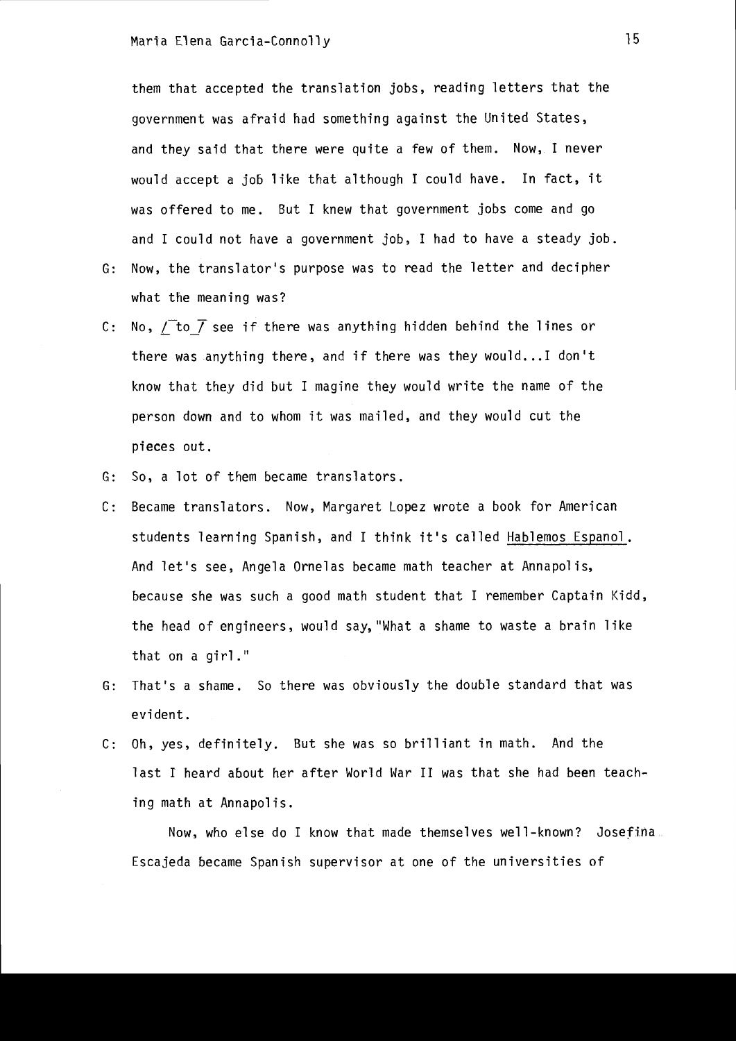them that accepted the translation jobs, reading letters that the government was afraid had something against the United States, and they said that there were quite a few of them. Now, I never would accept a job like that although I could have. In fact, it was offered to me. But I knew that government jobs come and go and I could not have a government job, I had to have a steady job.

- G: Now, the translator's purpose was to read the letter and decipher what the meaning was?
- C: No,  $\sqrt{\ }$  to  $\bar{f}$  see if there was anything hidden behind the lines or there was anything there, and if there was they would... I don't know that they did but I magine they would write the name of the person down and to whom it was mailed, and they would cut the pieces out.
- G: So, a lot of them became translators.
- C: Became translators. Now, Margaret Lopez wrote a book for American students learning Spanish, and I think it's called Hablemos Espanol. And let's see, Angela Ornelas became math teacher at Annapolis, because she was such a good math student that I remember Captain Kidd, the head of engineers, would say, "What a shame to waste a brain like that on a girl."
- G: That's a shame. So there was obviously the double standard that was evi dent.
- C: Oh, yes, definitely. But she was so brilliant in math. And the last I heard about her after World War II was that she had been teaching math at Annapolis.

Now, who else do I know that made themselves well-known? Josefina. Escajeda became Spanish supervisor at one of the universities of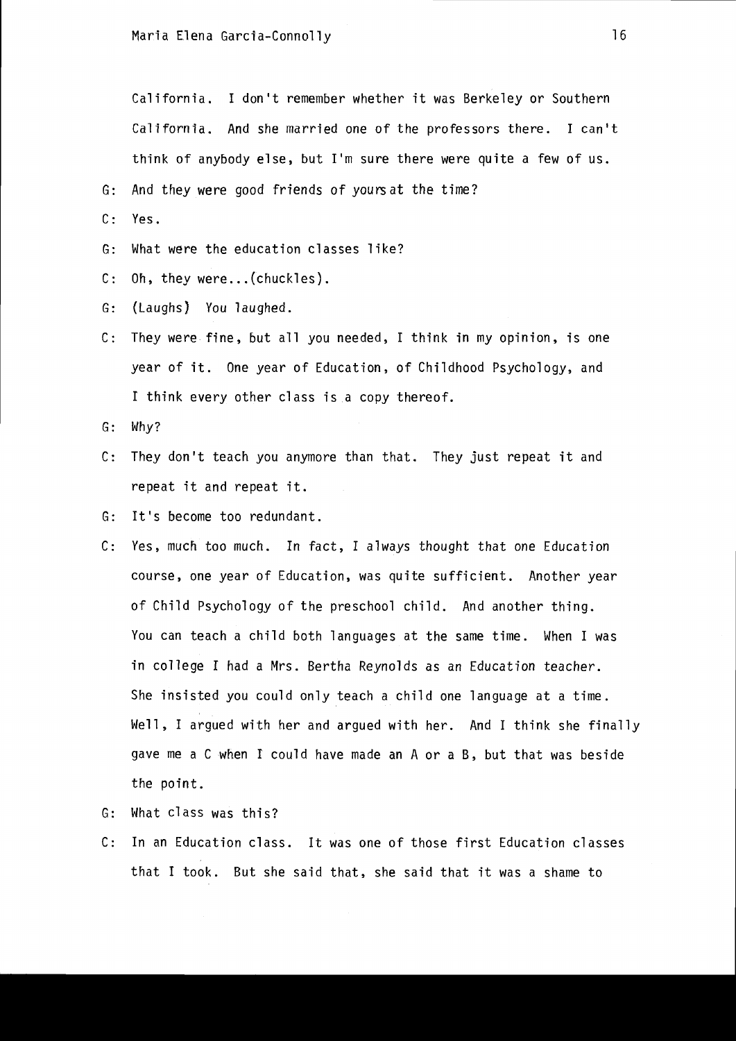California. I don't remember whether it was Berkeley or Southern California. And she married one of the professors there. I can't think of anybody else, but I'm sure there were quite a few of us.

G: And they were good friends of yours at the time?

- C: Yes.
- G: What were the education classes like?
- C: Oh, they were... (chuckles).
- G: (Laughs) You laughed.
- C: They were fine, but all you needed, I think in my opinion, is one year of it. One year of Education, of Childhood Psychology, and I think every other class is a copy thereof.
- G: Why?
- C: They don't teach you anymore than that. They just repeat it and repeat it and repeat it.
- G: It's become too redundant.
- C: Yes, much too much. In fact, I always thought that one Education course, one year of Education, was quite sufficient. Another year of Child Psychology of the preschool child. And another thing. You can teach a child both languages at the same time. When I was in college I had a Mrs. Bertha Reynolds as an Education teacher. She insisted you could only teach a child one language at a time. Well, I argued with her and argued with her. And I think she finally gave me a C when I could have made an A or a B, but that was beside the point.
- G: What class was this?
- C: In an Education class. It was one of those first Education classes that I took. But she said that, she said that it was a shame to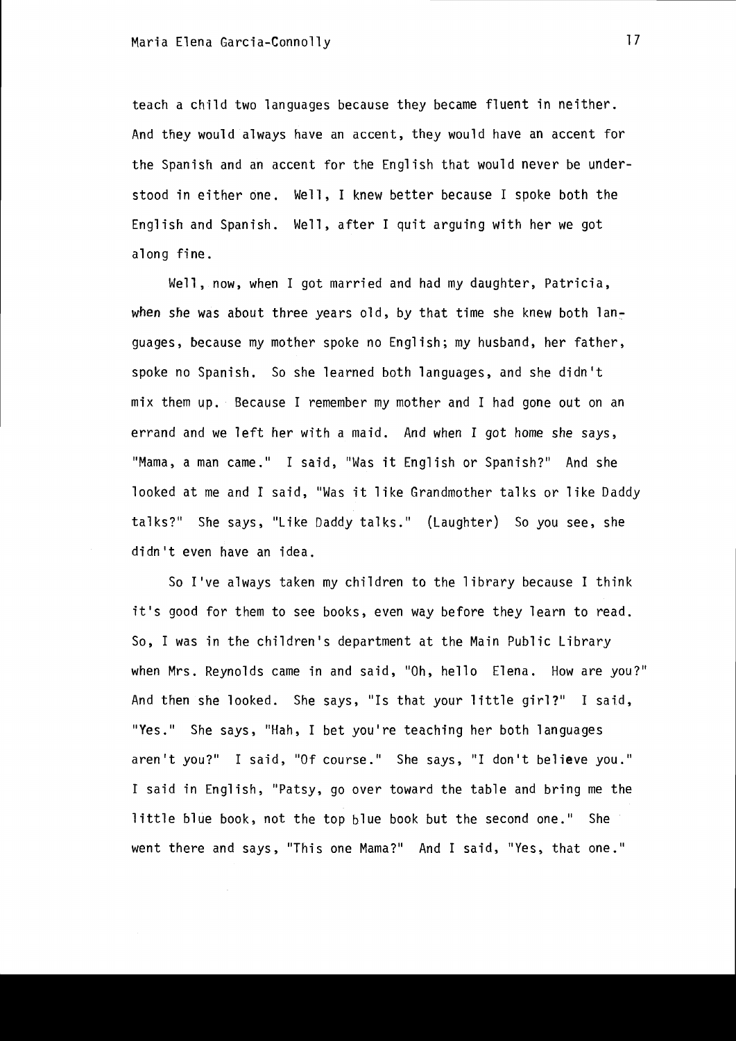teach a child two languages because they became fluent in neither. And they would always have an accent, they would have an accent for the Spanish and an accent for the English that would never be understood in either one. Well, I knew better because I spoke both the English and Spanish. Well, after I quit arguing with her we got along fine.

Well, now, when I got married and had my daughter, Patricia, when she was about three years old, by that time she knew both languages, because my mother spoke no English; my husband, her father, spoke no Spanish. So she learned both languages, and she didn't mix them up. Because I remember my mother and I had gone out on an errand and we left her with a maid. And when I got home she says, "Mama, a man came." I said, "Was it English or Spanish?" And she looked at me and I said, "Was it like Grandmother talks or like Daddy talks?" She says, "Like Daddy talks." (Laughter) So you see, she didn't even have an idea.

So I've always taken my children to the library because I think it's good for them to see books, even way before they learn to read. So, I was in the children's department at the Main Public Library when Mrs. Reynolds came in and said, "Oh, hello Elena. How are you?" And then she looked. She says, "Is that your little girl?" I said, "Yes." She says, "Hah, I bet you're teaching her both languages aren't you?" I said, "Of course." She says, "I don't believe you." I said in English, "Patsy, go over toward the table and bring me the little blue book, not the top blue book but the second one." She went there and says, "This one Mama?" And I said, "Yes, that one."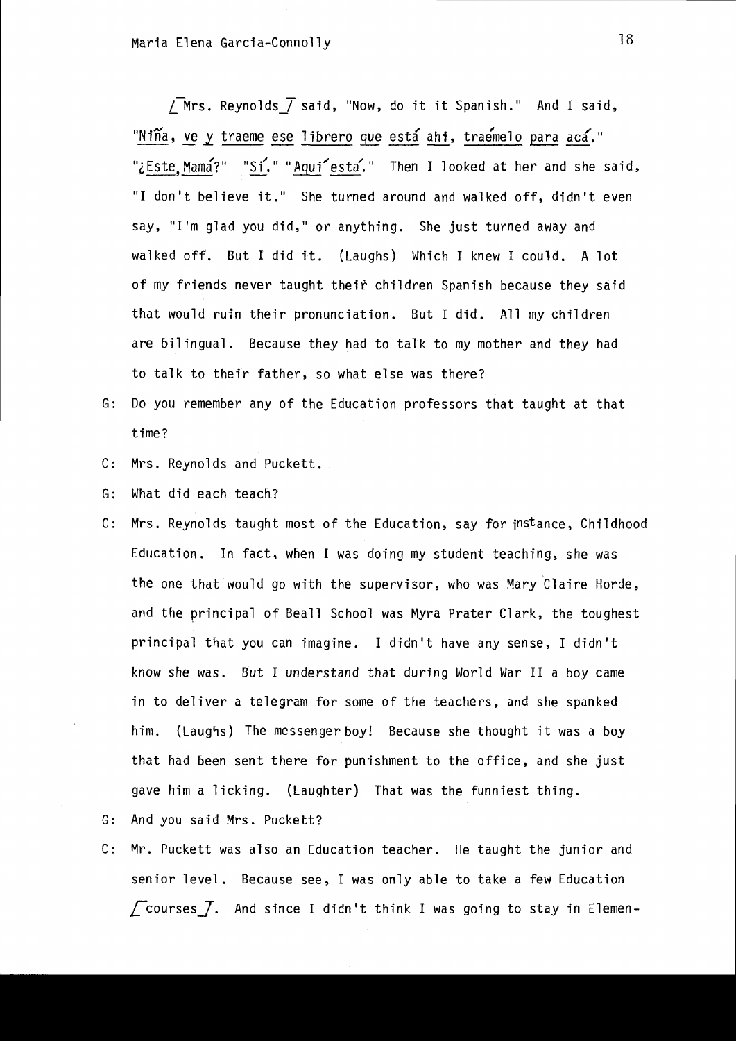/Mrs. Reynolds  $\overline{1}$  said, "Now, do it it Spanish." And I said, "Niña, ve y traeme ese librero que está ahi, traemelo para acá." "¿Este, Mama?" "Si." "Aqui esta." Then I looked at her and she said, "I don't believe it." She turned around and walked off, didn't even say, "I'm glad you did," or anything. She just turned away and walked off. But I did it. (Laughs) Which I knew I could. A lot of my friends never taught their children Spanish because they said that would ruin their pronunciation. But I did. All my children are bilingual. Because they had to talk to my mother and they had to talk to their father, so what else was there?

- G: Do you remember any of the Education professors that taught at that time?
- C: Mrs. Reynolds and Puckett.
- G: What did each teach?
- C: Mrs. Reynolds taught most of the Education, say for instance, Childhood Education. In fact, when I was doing my student teaching, she was the one that would go with the supervisor, who was Mary Claire Horde, and the principal of Beall School was Myra Prater Clark, the toughest principal that you can imagine. I didn't have any sense, I didn't know she was. But I understand that during World War II a boy came in to deliver a telegram for some of the teachers, and she spanked him. (Laughs) The messenger boy! Because she thought it was a boy that had been sent there for punishment to the office, and she just gave him a licking. (Laughter) That was the funniest thing.
- G: And you said Mrs. Puckett?
- C: Mr. Puckett was also an Education teacher. He taught the junior and senior level. Because see, I was only able to take a few Education  $\sqrt{\phantom{a}}$  courses  $\sqrt{\phantom{a}}$ . And since I didn't think I was going to stay in Elemen-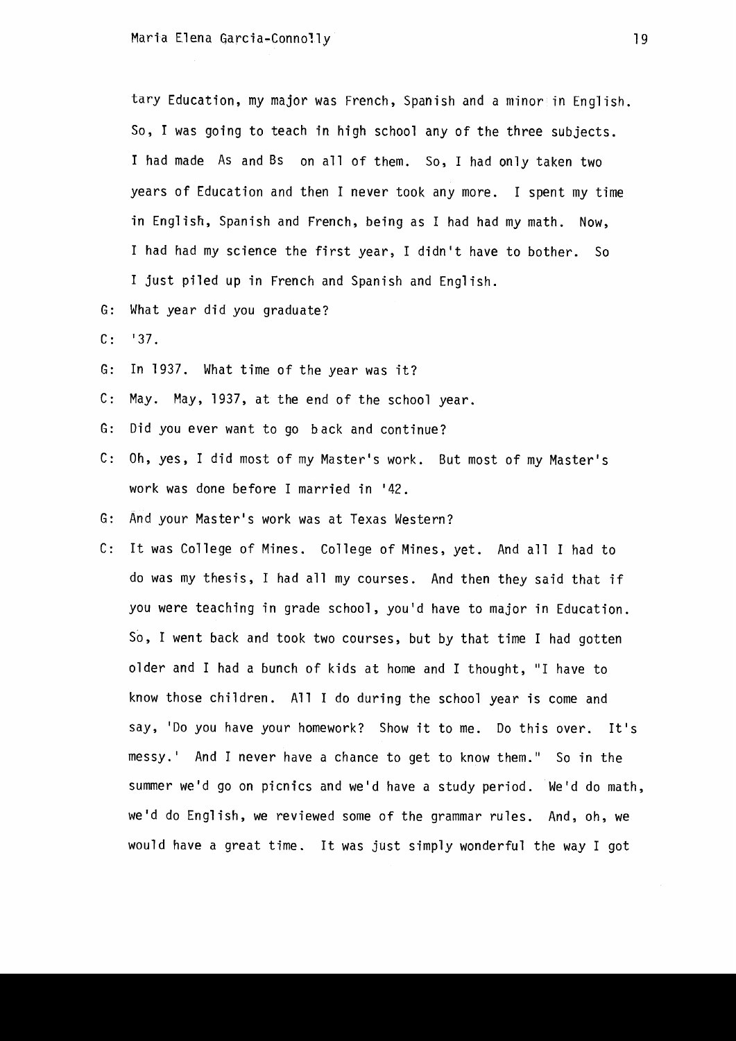tary Education, my major was French, Spanish and a minor in English. So, I was going to teach in high school any of the three subjects. I had made As and Bs on all of them. So, I had only taken two years of Education and then I never took any more. I spent my time in English, Spanish and French, being as I had had my math. Now, I had had my science the first year, I didn't have to bother. So I just piled up in French and Spanish and English.

- G: What year did you graduate?
- $C: '37.$
- G: In 1937. What time of the year was it?
- C: May. May, 1937, at the end of the school year.
- G: Did you ever want to go back and continue?
- C: Oh, yes, I did most of my Master's work. But most of my Master's work was done before I married in '42.
- G: And your Master's work was at Texas Western?
- C: It was College of Mines. College of Mines, yet. And all I had to do was my thesis, I had all my courses. And then they said that if you were teaching in grade school, you'd have to major in Education. So, I went back and took two courses, but by that time I had gotten older and I had a bunch of kids at home and I thought, "I have to know those children. All I do during the school year is come and say, 'Do you have your homework? Show it to me. Do this over. It's messy.' And I never have a chance to get to know them." So in the summer we'd go on picnics and we'd have a study period. We'd do math, we'd do English, we reviewed some of the grammar rules. And, oh, we would have a great time. It was just simply wonderful the way I got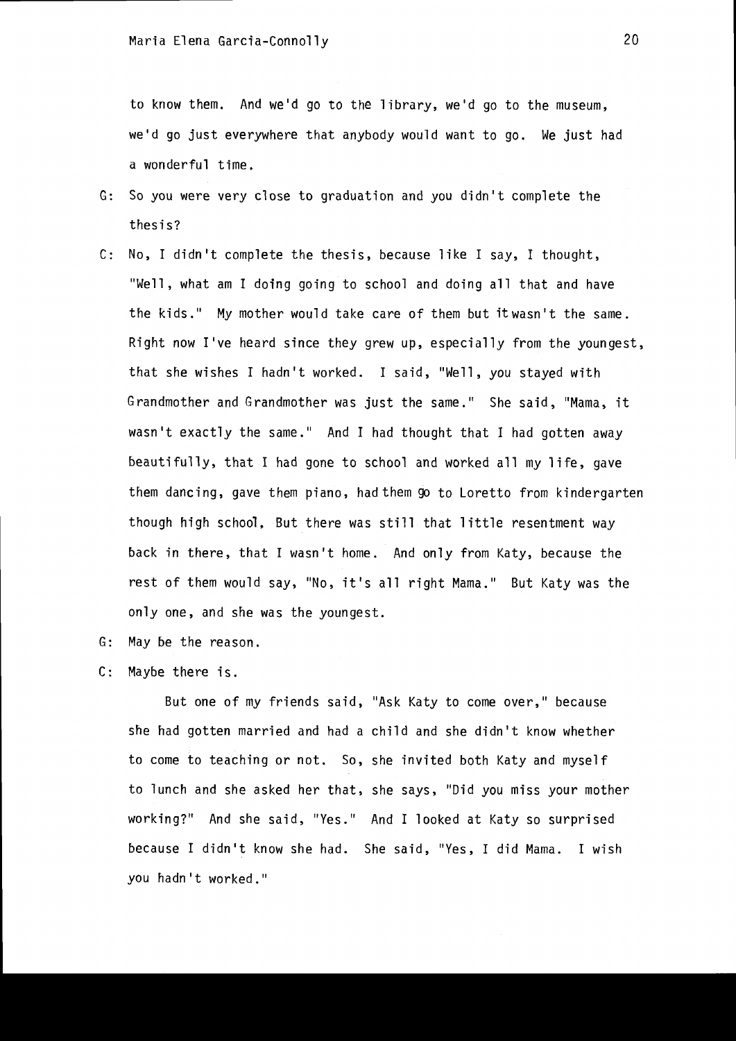to know them. And we'd go to the library, we'd go to the museum, we'd go just everywhere that anybody would want to go. We just had a wonderful time,

- G: So you were very close to graduation and you didn't complete the thesis?
- C: No, I didn't complete the thesis, because like I say, I thought, "Well, what am I doing going to school and doing all that and have the kids." My mother would take care of them but itwasn't the same. Right now I've heard since they grew up, especially from the youngest, that she wishes I hadn't worked. I said, "Well, you stayed with Grandmother and Grandmother was just the same." She said, "Mama, it wasn't exactly the same." And I had thought that I had gotten away beautifully, that I had gone to school and worked all my life, gave them dancing, gave them piano, had them go to Loretto from kindergarten though high school, But there was still that little resentment way back in there, that I wasn't home. And only from Katy, because the rest of them would say, "No, it's all right Mama." But Katy was the only one, and she was the youngest.
- G: May be the reason.
- C: Maybe there is.

But one of my friends said, "Ask Katy to come over," because she had gotten married and had a child and she didn't know whether to come to teaching or not. So, she invited both Katy and myself to lunch and she asked her that, she says, "Did you miss your mother working?" And she said, "Yes." And I looked at Katy so surprised because I didn't know she had. She said, "Yes, I did Mama. I wish you hadn't worked."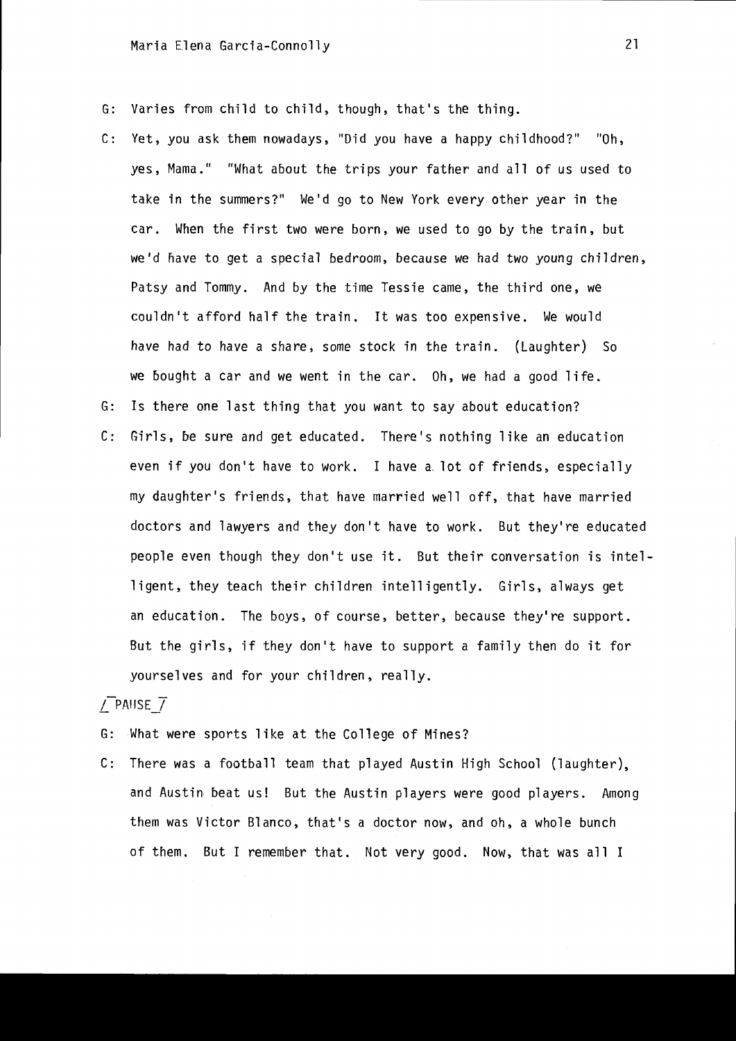- G: Varies from child to child, though, that's the thing.
- C: Yet, you ask them nowadays, "Did you have a happy childhood?" "Oh, yes, Mama." "What about the trips your father and all of us used to take in the summers?" We'd go to New York every other year in the car. When the first two were born, we used to go by the train, but we'd nave to get a special bedroom, because we had two young children, Patsy and Tommy. And by the time Tessie came, the third one, we couldn't afford half the train. It was too expensive. We would have had to have a share, some stock in the train. (Laughter) So we bought a car and we went in the car. Oh, we had a good life.
- G: Is there one last thing that you want to say about education?
- C: Girls, be sure and get educated. There's nothing like an education even if you don't have to work. I have a. lot of friends, especially my daughter's friends, that have married well off, that have married doctors and lawyers and they don't have to work. But they're educated people even though they don't use it. But their conversation is intelligent, they teach their children intelligently. Girls, always get an education. The boys, of course, better, because they're support. But the girls, if they don't have to support a family then do it for yourselves and for your children, really.

### *L* PAIJSEJ

- G: What were sports like at the College of Mines?
- C: There was a football team that played Austin High School (laughter), and Austin beat us! But the Austin players were good players. Among them was Victor Blanco, that's a doctor now, and oh, a whole bunch of them. But I remember that. Not very good. Now, that was all I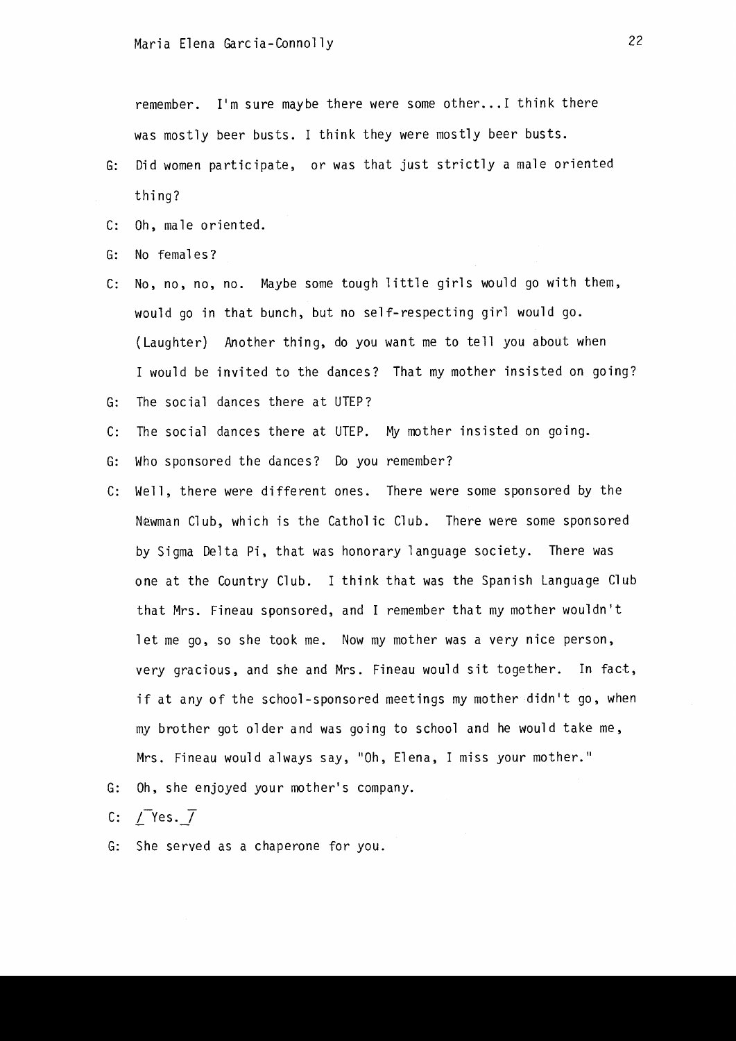remember. I'm sure maybe there were some other... I think there was mostly beer busts. I think they were mostly beer busts.

- G: Did women participate, or was that just strictly a male oriented thing?
- C: Oh, male oriented.
- G: No females?
- c: No, no, no, no. Maybe some tough little girls would go with them, would go in that bunch, but no self-respecting girl would go. (Laughter) Another thing, do you want me to tell you about when I would be invited to the dances? That my mother insisted on going?
- G: The social dances there at UTEP?
- C: The social dances there at UTEP. My mother insisted on going.
- G: Who sponsored the dances? Do you remember?
- C: Well, there were different ones. There were some sponsored by the Newman Club, which is the Catholic Club. There were some sponsored by Sigma Delta Pi, that was honorary language society. There was one at the Country Club. I think that was the Spanish Language Club that Mrs. Fineau sponsored, and I remember that my mother wouldn't let me go, so she took me. Now my mother was a very nice person, very gracious, and she and Mrs. Fineau would sit together. In fact, if at any of the school-sponsored meetings my mother didn't go, when my brother got older and was going to school and he would take me, Mrs. Fineau would always say, "Oh, Elena, I miss your mother."
- G: Oh, she enjoyed your mother's company.

C: *L-Yes.J* 

G: She served as a chaperone for you.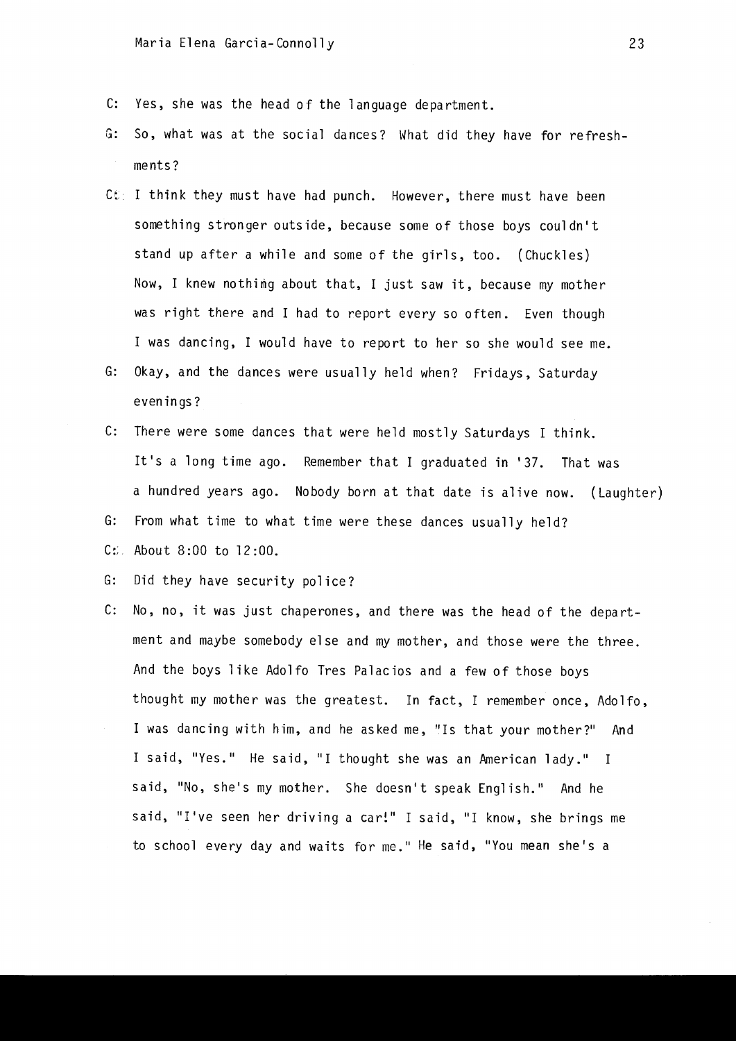- C: Yes, she was the head 0 f the 1 anguage depa rtment.
- G: So, what was at the social dances? What did they have for refreshments?
- $C \mathcal{E}$  I think they must have had punch. However, there must have been something stronger outside, because some of those boys couldn't stand up after a while and some of the girls, too. (Chuckles) Now, I knew nothimg about that, I just saw it, because my mother was right there and I had to report every so often. Even though I was dancing, I would have to report to her so she would see me.
- G: Okay, and the dances were usually held when? Fridays, Saturday evenings?
- C: There were some dances that were held mostly Saturdays I think. It's a long time ago. Remember that I graduated in '37. That was a hundred years ago. Nobody born at that date is alive now. (Laughter)
- G: From what time to what time were these dances usually held?
- $C:$  About 8:00 to 12:00.
- G: Did they have security police?
- C: No, no, it was just chaperones, and there was the head of the department and maybe somebody else and my mother, and those were the three. And the boys like Adolfo Tres Palacios and a few of those boys thought my mother was the greatest. In fact, I remember once, Adolfo, I was dancing with him, and he asked me, "Is that your mother?" And I said, "Yes." He said, "I thought she was an American lady." I said, "No, she's my mother. She doesn't speak English." And he said, "I've seen her driving a car!" I said, "I know, she brings me to school every day and waits for me." He said, "You mean she's a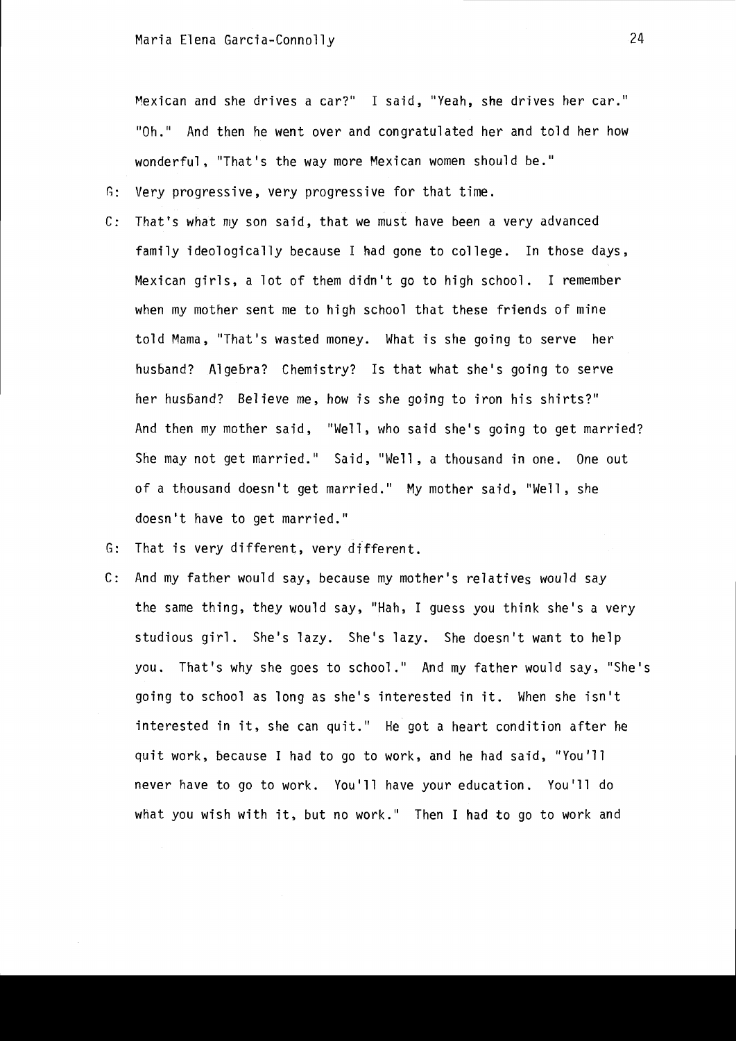Mexican and she drives a car?" I said, "Yeah, she drives her car." "Oh." And then he went over and congratulated her and told her how wonderful, "That's the way more Mexican women should be."

G: Very progressive, very progressive for that time.

C: That's what my son said, that we must have been a very advanced family ideologically because I had gone to college. In those days, Mexican girls, a lot of them didn't go to high school. I remember when my mother sent me to high school that these friends of mine told Mama, "That's wasted money. What is she going to serve her husband? Algebra? Chemistry? Is that what she's going to serve her husband? Believe me, how is she going to iron his shirts?" And then my mother said, "Well, who said she's going to get married? She may not get married." Said, "Well, a thousand in one. One out of a thousand doesn't get married." My mother said, "Well, she doesn't have to get married."

G: That is very different, very different.

C: And my father would say, because my mother's relatives would say the same thing, they would say, "Hah, I guess you think she's a very studious girl. She's lazy. She's lazy. She doesn't want to help you. That's why she goes to schoo1." And my father would say, "She's going to school as long as she's interested in it. When she isn't interested in it, she can quit." He got a heart condition after he quit work, because I had to go to work, and he had said, "You'll never have to go to work. You'll have your education. You'll do what you wish with it, but no work." Then I had to go to work and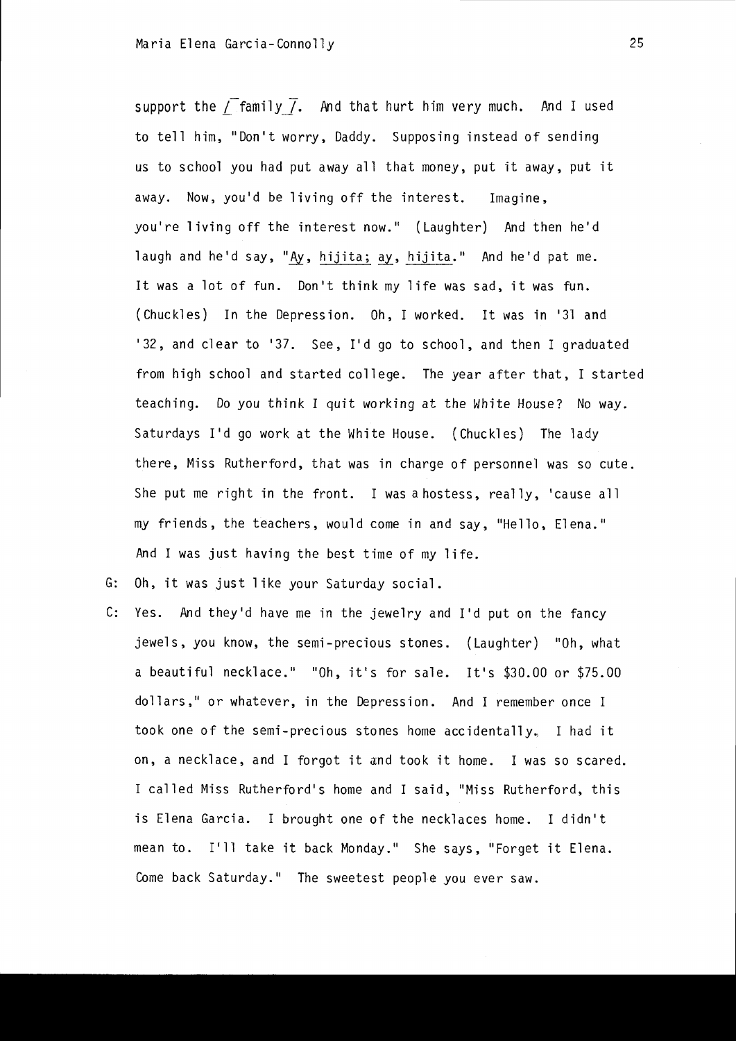support the  $\sqrt{2}$  family  $\sqrt{2}$ . And that hurt him very much. And I used to tell him, "Don't worry, Daddy. Supposing instead of sending us to school you had put away all that money, put it away, put it away. Now, you'd be living off the interest. Imagine, you're living off the interest now." (Laughter) And then he'd laugh and he'd say, "Ay, hijita; ay, hijita." And he'd pat me. It was a lot of fun. Don't think my life was sad, it was fun. (Chuckles) In the Depression. Oh, I worked. It was in '31 and '32, and clear to '37. See, I'd go to school, and then I graduated from high school and started college. The year after that, I started teaching. Do you think I quit working at the White House? No way. Saturdays I'd go work at the White House. (Chuckles) The lady there, Miss Rutherford, that was in charge of personnel was so cute. She put me right in the front. I was a hostess, really, 'cause all my friends, the teachers, would come in and say, "Hello, Elena." And I was just having the best time of my life.

G: Oh, it was just like your Saturday social.

C: Yes. And they'd have me in the jewelry and I'd put on the fancy jewels, you know, the semi-precious stones. (Laughter) "Oh, what a beautiful necklace." "Oh, it's for sale. It's \$30.00 or \$75.00 dollars," or whatever, in the Depression. And I remember once I took one of the semi-precious stones home accidentally, I had it on, a necklace, and I forgot it and took it home. I was so scared. I called Miss Rutherford's home and I said, "Miss Rutherford, this is Elena Garcia. I brought one of the necklaces home. I didn't mean to. I'll take it back Monday." She says, "Forget it Elena. Come back Saturday." The sweetest people you ever saw.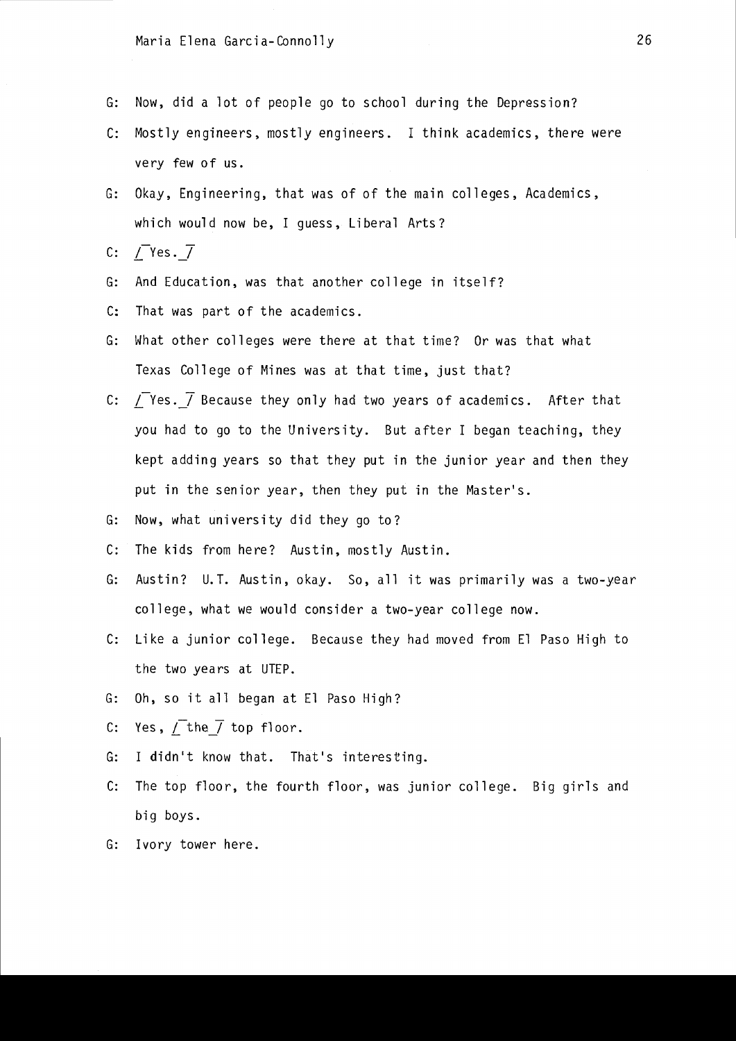- G: Now, did a lot of people go to school during the Depression?
- C: Mostly engineers, mostly engineers. I think academics, there were very few of us.
- G: Okay, Engineering, that was of of the main colleges, Academics, which would now be, I guess, Liberal Arts?
- C:  $\sqrt{\ }$ Yes.  $\sqrt{ }$
- G: And Education, was that another college in itself?
- C: That was part of the academics.
- G: What other colleges were there at that time? Or was that what Texas College of Mines was at that time, just that?
- C: *I*Ves. *I* Because they only had two years of academics. After that you had to go to the University. But after I began teaching, they kept adding years so that they put in the junior year and then they put in the senior year, then they put in the Master's.
- G: Now, what university did they go to?
- C: The kids from here? Austin, mostly Austin.
- G: Austin? U.T. Austin, okay. So, all it was primarily was a two-year college, what we would consider a two-year college now.
- C: Like a junior college. Because they had moved from El Paso High to the two years at UTEP.
- G: Oh, so it all began at El Paso High?
- C: Yes,  $\sqrt{\ }$  the  $\sqrt{\ }$  top floor.
- G: I didn't know that. That's interesting.
- C: The top floor, the fourth floor, was junior college. Big girls and big boys.
- G: Ivory tower here.